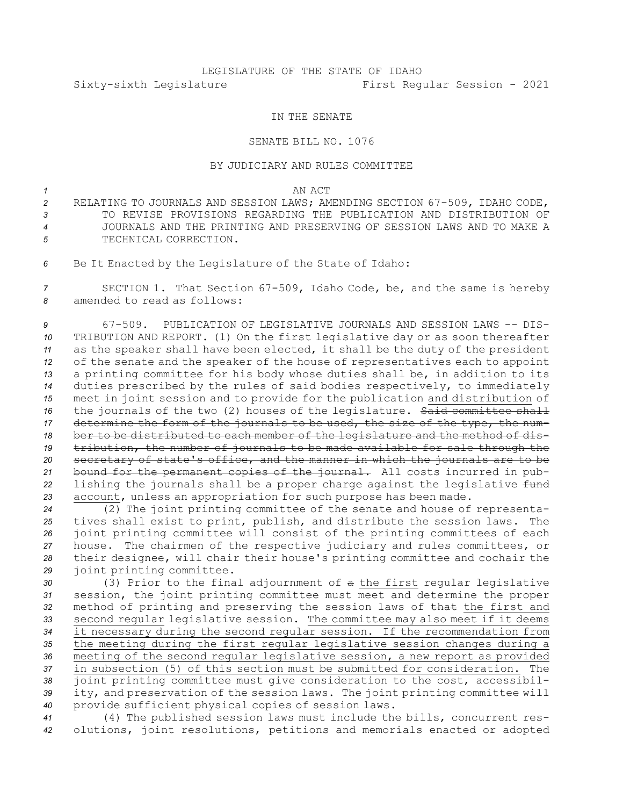# LEGISLATURE OF THE STATE OF IDAHO Sixty-sixth Legislature First Regular Session - 2021

### IN THE SENATE

### SENATE BILL NO. 1076

## BY JUDICIARY AND RULES COMMITTEE

#### *1* AN ACT

- *<sup>2</sup>* RELATING TO JOURNALS AND SESSION LAWS; AMENDING SECTION 67-509, IDAHO CODE, *3* TO REVISE PROVISIONS REGARDING THE PUBLICATION AND DISTRIBUTION OF *4* JOURNALS AND THE PRINTING AND PRESERVING OF SESSION LAWS AND TO MAKE A *5* TECHNICAL CORRECTION.
- *<sup>6</sup>* Be It Enacted by the Legislature of the State of Idaho:

*<sup>7</sup>* SECTION 1. That Section 67-509, Idaho Code, be, and the same is hereby *8* amended to read as follows:

 67-509. PUBLICATION OF LEGISLATIVE JOURNALS AND SESSION LAWS -- DIS- TRIBUTION AND REPORT. (1) On the first legislative day or as soon thereafter as the speaker shall have been elected, it shall be the duty of the president of the senate and the speaker of the house of representatives each to appoint <sup>a</sup> printing committee for his body whose duties shall be, in addition to its duties prescribed by the rules of said bodies respectively, to immediately meet in joint session and to provide for the publication and distribution of 16 the journals of the two (2) houses of the legislature. Said committee shall determine the form of the journals to be used, the size of the type, the num- ber to be distributed to each member of the legislature and the method of dis- tribution, the number of journals to be made available for sale through the secretary of state's office, and the manner in which the journals are to be bound for the permanent copies of the journal. All costs incurred in pub-22 lishing the journals shall be a proper charge against the legislative fund account, unless an appropriation for such purpose has been made.

 (2) The joint printing committee of the senate and house of representa- tives shall exist to print, publish, and distribute the session laws. The joint printing committee will consist of the printing committees of each house. The chairmen of the respective judiciary and rules committees, or their designee, will chair their house's printing committee and cochair the joint printing committee.

 (3) Prior to the final adjournment of <sup>a</sup> the first regular legislative session, the joint printing committee must meet and determine the proper method of printing and preserving the session laws of that the first and second regular legislative session. The committee may also meet if it deems it necessary during the second regular session. If the recommendation from the meeting during the first regular legislative session changes during <sup>a</sup> meeting of the second regular legislative session, <sup>a</sup> new report as provided in subsection (5) of this section must be submitted for consideration. The joint printing committee must give consideration to the cost, accessibil- ity, and preservation of the session laws. The joint printing committee will provide sufficient physical copies of session laws.

*<sup>41</sup>* (4) The published session laws must include the bills, concurrent res-*<sup>42</sup>* olutions, joint resolutions, petitions and memorials enacted or adopted